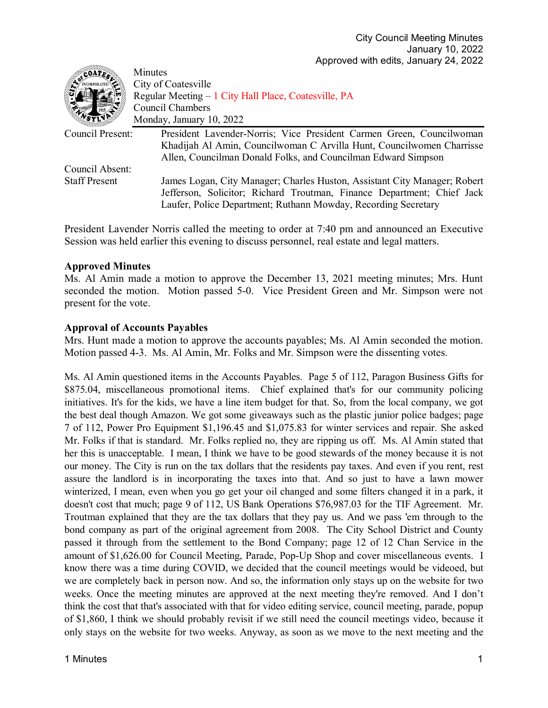| COATE.               | Minutes                                                                   |
|----------------------|---------------------------------------------------------------------------|
|                      | City of Coatesville                                                       |
|                      | Regular Meeting – 1 City Hall Place, Coatesville, PA                      |
|                      | Council Chambers                                                          |
|                      | Monday, January 10, 2022                                                  |
| Council Present:     | President Lavender-Norris; Vice President Carmen Green, Councilwoman      |
|                      | Khadijah Al Amin, Councilwoman C Arvilla Hunt, Councilwomen Charrisse     |
|                      | Allen, Councilman Donald Folks, and Councilman Edward Simpson             |
| Council Absent:      |                                                                           |
| <b>Staff Present</b> | James Logan, City Manager; Charles Huston, Assistant City Manager; Robert |
|                      | Jefferson, Solicitor; Richard Troutman, Finance Department; Chief Jack    |
|                      | Laufer, Police Department; Ruthann Mowday, Recording Secretary            |

President Lavender Norris called the meeting to order at 7:40 pm and announced an Executive Session was held earlier this evening to discuss personnel, real estate and legal matters.

## **Approved Minutes**

Ms. Al Amin made a motion to approve the December 13, 2021 meeting minutes; Mrs. Hunt seconded the motion. Motion passed 5-0. Vice President Green and Mr. Simpson were not present for the vote.

## **Approval of Accounts Payables**

Mrs. Hunt made a motion to approve the accounts payables; Ms. Al Amin seconded the motion. Motion passed 4-3. Ms. Al Amin, Mr. Folks and Mr. Simpson were the dissenting votes.

Ms. Al Amin questioned items in the Accounts Payables. Page 5 of 112, Paragon Business Gifts for \$875.04, miscellaneous promotional items. Chief explained that's for our community policing initiatives. It's for the kids, we have a line item budget for that. So, from the local company, we got the best deal though Amazon. We got some giveaways such as the plastic junior police badges; page 7 of 112, Power Pro Equipment \$1,196.45 and \$1,075.83 for winter services and repair. She asked Mr. Folks if that is standard. Mr. Folks replied no, they are ripping us off. Ms. Al Amin stated that her this is unacceptable. I mean, I think we have to be good stewards of the money because it is not our money. The City is run on the tax dollars that the residents pay taxes. And even if you rent, rest assure the landlord is in incorporating the taxes into that. And so just to have a lawn mower winterized, I mean, even when you go get your oil changed and some filters changed it in a park, it doesn't cost that much; page 9 of 112, US Bank Operations \$76,987.03 for the TIF Agreement. Mr. Troutman explained that they are the tax dollars that they pay us. And we pass 'em through to the bond company as part of the original agreement from 2008. The City School District and County passed it through from the settlement to the Bond Company; page 12 of 12 Chan Service in the amount of \$1,626.00 for Council Meeting, Parade, Pop-Up Shop and cover miscellaneous events. I know there was a time during COVID, we decided that the council meetings would be videoed, but we are completely back in person now. And so, the information only stays up on the website for two weeks. Once the meeting minutes are approved at the next meeting they're removed. And I don't think the cost that that's associated with that for video editing service, council meeting, parade, popup of \$1,860, I think we should probably revisit if we still need the council meetings video, because it only stays on the website for two weeks. Anyway, as soon as we move to the next meeting and the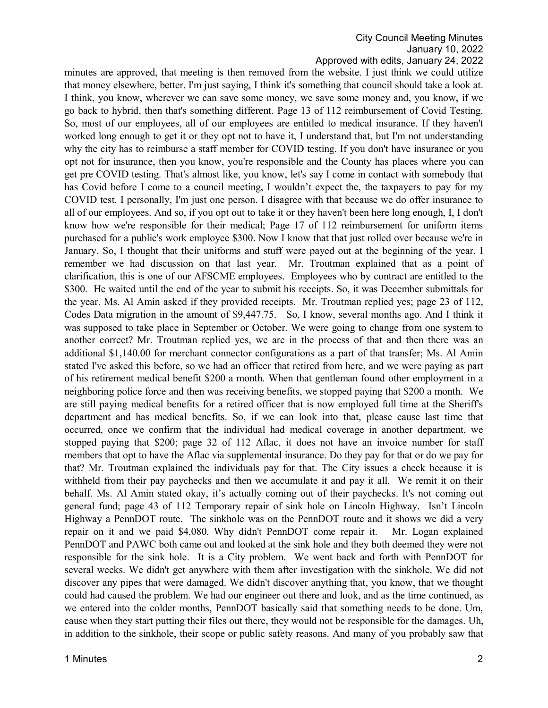minutes are approved, that meeting is then removed from the website. I just think we could utilize that money elsewhere, better. I'm just saying, I think it's something that council should take a look at. I think, you know, wherever we can save some money, we save some money and, you know, if we go back to hybrid, then that's something different. Page 13 of 112 reimbursement of Covid Testing. So, most of our employees, all of our employees are entitled to medical insurance. If they haven't worked long enough to get it or they opt not to have it, I understand that, but I'm not understanding why the city has to reimburse a staff member for COVID testing. If you don't have insurance or you opt not for insurance, then you know, you're responsible and the County has places where you can get pre COVID testing. That's almost like, you know, let's say I come in contact with somebody that has Covid before I come to a council meeting, I wouldn't expect the, the taxpayers to pay for my COVID test. I personally, I'm just one person. I disagree with that because we do offer insurance to all of our employees. And so, if you opt out to take it or they haven't been here long enough, I, I don't know how we're responsible for their medical; Page 17 of 112 reimbursement for uniform items purchased for a public's work employee \$300. Now I know that that just rolled over because we're in January. So, I thought that their uniforms and stuff were payed out at the beginning of the year. I remember we had discussion on that last year. Mr. Troutman explained that as a point of clarification, this is one of our AFSCME employees. Employees who by contract are entitled to the \$300. He waited until the end of the year to submit his receipts. So, it was December submittals for the year. Ms. Al Amin asked if they provided receipts. Mr. Troutman replied yes; page 23 of 112, Codes Data migration in the amount of \$9,447.75. So, I know, several months ago. And I think it was supposed to take place in September or October. We were going to change from one system to another correct? Mr. Troutman replied yes, we are in the process of that and then there was an additional \$1,140.00 for merchant connector configurations as a part of that transfer; Ms. Al Amin stated I've asked this before, so we had an officer that retired from here, and we were paying as part of his retirement medical benefit \$200 a month. When that gentleman found other employment in a neighboring police force and then was receiving benefits, we stopped paying that \$200 a month. We are still paying medical benefits for a retired officer that is now employed full time at the Sheriff's department and has medical benefits. So, if we can look into that, please cause last time that occurred, once we confirm that the individual had medical coverage in another department, we stopped paying that \$200; page 32 of 112 Aflac, it does not have an invoice number for staff members that opt to have the Aflac via supplemental insurance. Do they pay for that or do we pay for that? Mr. Troutman explained the individuals pay for that. The City issues a check because it is withheld from their pay paychecks and then we accumulate it and pay it all. We remit it on their behalf. Ms. Al Amin stated okay, it's actually coming out of their paychecks. It's not coming out general fund; page 43 of 112 Temporary repair of sink hole on Lincoln Highway. Isn't Lincoln Highway a PennDOT route. The sinkhole was on the PennDOT route and it shows we did a very repair on it and we paid \$4,080. Why didn't PennDOT come repair it. Mr. Logan explained PennDOT and PAWC both came out and looked at the sink hole and they both deemed they were not responsible for the sink hole. It is a City problem. We went back and forth with PennDOT for several weeks. We didn't get anywhere with them after investigation with the sinkhole. We did not discover any pipes that were damaged. We didn't discover anything that, you know, that we thought could had caused the problem. We had our engineer out there and look, and as the time continued, as we entered into the colder months, PennDOT basically said that something needs to be done. Um, cause when they start putting their files out there, they would not be responsible for the damages. Uh, in addition to the sinkhole, their scope or public safety reasons. And many of you probably saw that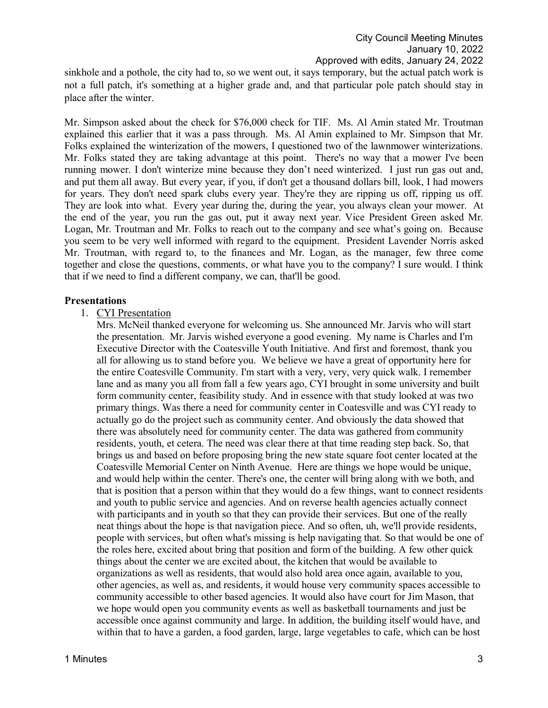sinkhole and a pothole, the city had to, so we went out, it says temporary, but the actual patch work is not a full patch, it's something at a higher grade and, and that particular pole patch should stay in place after the winter.

Mr. Simpson asked about the check for \$76,000 check for TIF. Ms. Al Amin stated Mr. Troutman explained this earlier that it was a pass through. Ms. Al Amin explained to Mr. Simpson that Mr. Folks explained the winterization of the mowers, I questioned two of the lawnmower winterizations. Mr. Folks stated they are taking advantage at this point. There's no way that a mower I've been running mower. I don't winterize mine because they don't need winterized. I just run gas out and, and put them all away. But every year, if you, if don't get a thousand dollars bill, look, I had mowers for years. They don't need spark clubs every year. They're they are ripping us off, ripping us off. They are look into what. Every year during the, during the year, you always clean your mower. At the end of the year, you run the gas out, put it away next year. Vice President Green asked Mr. Logan, Mr. Troutman and Mr. Folks to reach out to the company and see what's going on. Because you seem to be very well informed with regard to the equipment. President Lavender Norris asked Mr. Troutman, with regard to, to the finances and Mr. Logan, as the manager, few three come together and close the questions, comments, or what have you to the company? I sure would. I think that if we need to find a different company, we can, that'll be good.

### **Presentations**

## 1. CYI Presentation

Mrs. McNeil thanked everyone for welcoming us. She announced Mr. Jarvis who will start the presentation. Mr. Jarvis wished everyone a good evening. My name is Charles and I'm Executive Director with the Coatesville Youth Initiative. And first and foremost, thank you all for allowing us to stand before you. We believe we have a great of opportunity here for the entire Coatesville Community. I'm start with a very, very, very quick walk. I remember lane and as many you all from fall a few years ago, CYI brought in some university and built form community center, feasibility study. And in essence with that study looked at was two primary things. Was there a need for community center in Coatesville and was CYI ready to actually go do the project such as community center. And obviously the data showed that there was absolutely need for community center. The data was gathered from community residents, youth, et cetera. The need was clear there at that time reading step back. So, that brings us and based on before proposing bring the new state square foot center located at the Coatesville Memorial Center on Ninth Avenue. Here are things we hope would be unique, and would help within the center. There's one, the center will bring along with we both, and that is position that a person within that they would do a few things, want to connect residents and youth to public service and agencies. And on reverse health agencies actually connect with participants and in youth so that they can provide their services. But one of the really neat things about the hope is that navigation piece. And so often, uh, we'll provide residents, people with services, but often what's missing is help navigating that. So that would be one of the roles here, excited about bring that position and form of the building. A few other quick things about the center we are excited about, the kitchen that would be available to organizations as well as residents, that would also hold area once again, available to you, other agencies, as well as, and residents, it would house very community spaces accessible to community accessible to other based agencies. It would also have court for Jim Mason, that we hope would open you community events as well as basketball tournaments and just be accessible once against community and large. In addition, the building itself would have, and within that to have a garden, a food garden, large, large vegetables to cafe, which can be host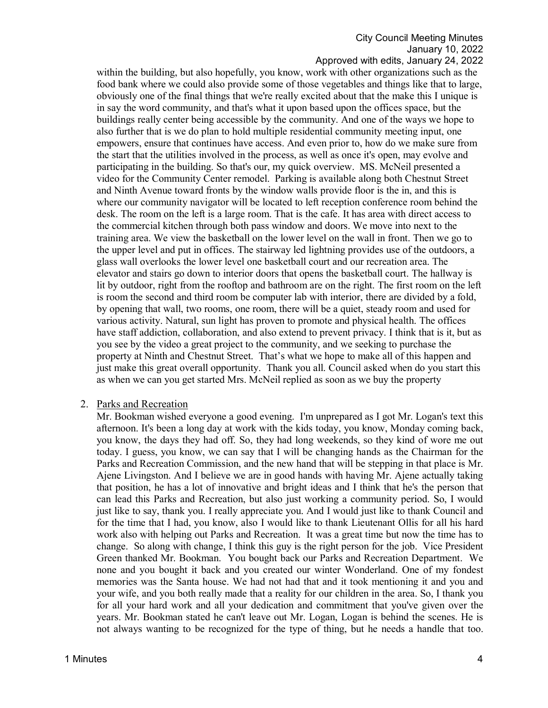#### Approved with edits, January 24, 2022

within the building, but also hopefully, you know, work with other organizations such as the food bank where we could also provide some of those vegetables and things like that to large, obviously one of the final things that we're really excited about that the make this I unique is in say the word community, and that's what it upon based upon the offices space, but the buildings really center being accessible by the community. And one of the ways we hope to also further that is we do plan to hold multiple residential community meeting input, one empowers, ensure that continues have access. And even prior to, how do we make sure from the start that the utilities involved in the process, as well as once it's open, may evolve and participating in the building. So that's our, my quick overview. MS. McNeil presented a video for the Community Center remodel. Parking is available along both Chestnut Street and Ninth Avenue toward fronts by the window walls provide floor is the in, and this is where our community navigator will be located to left reception conference room behind the desk. The room on the left is a large room. That is the cafe. It has area with direct access to the commercial kitchen through both pass window and doors. We move into next to the training area. We view the basketball on the lower level on the wall in front. Then we go to the upper level and put in offices. The stairway led lightning provides use of the outdoors, a glass wall overlooks the lower level one basketball court and our recreation area. The elevator and stairs go down to interior doors that opens the basketball court. The hallway is lit by outdoor, right from the rooftop and bathroom are on the right. The first room on the left is room the second and third room be computer lab with interior, there are divided by a fold, by opening that wall, two rooms, one room, there will be a quiet, steady room and used for various activity. Natural, sun light has proven to promote and physical health. The offices have staff addiction, collaboration, and also extend to prevent privacy. I think that is it, but as you see by the video a great project to the community, and we seeking to purchase the property at Ninth and Chestnut Street. That's what we hope to make all of this happen and just make this great overall opportunity. Thank you all. Council asked when do you start this as when we can you get started Mrs. McNeil replied as soon as we buy the property

#### 2. Parks and Recreation

Mr. Bookman wished everyone a good evening. I'm unprepared as I got Mr. Logan's text this afternoon. It's been a long day at work with the kids today, you know, Monday coming back, you know, the days they had off. So, they had long weekends, so they kind of wore me out today. I guess, you know, we can say that I will be changing hands as the Chairman for the Parks and Recreation Commission, and the new hand that will be stepping in that place is Mr. Ajene Livingston. And I believe we are in good hands with having Mr. Ajene actually taking that position, he has a lot of innovative and bright ideas and I think that he's the person that can lead this Parks and Recreation, but also just working a community period. So, I would just like to say, thank you. I really appreciate you. And I would just like to thank Council and for the time that I had, you know, also I would like to thank Lieutenant Ollis for all his hard work also with helping out Parks and Recreation. It was a great time but now the time has to change. So along with change, I think this guy is the right person for the job. Vice President Green thanked Mr. Bookman. You bought back our Parks and Recreation Department. We none and you bought it back and you created our winter Wonderland. One of my fondest memories was the Santa house. We had not had that and it took mentioning it and you and your wife, and you both really made that a reality for our children in the area. So, I thank you for all your hard work and all your dedication and commitment that you've given over the years. Mr. Bookman stated he can't leave out Mr. Logan, Logan is behind the scenes. He is not always wanting to be recognized for the type of thing, but he needs a handle that too.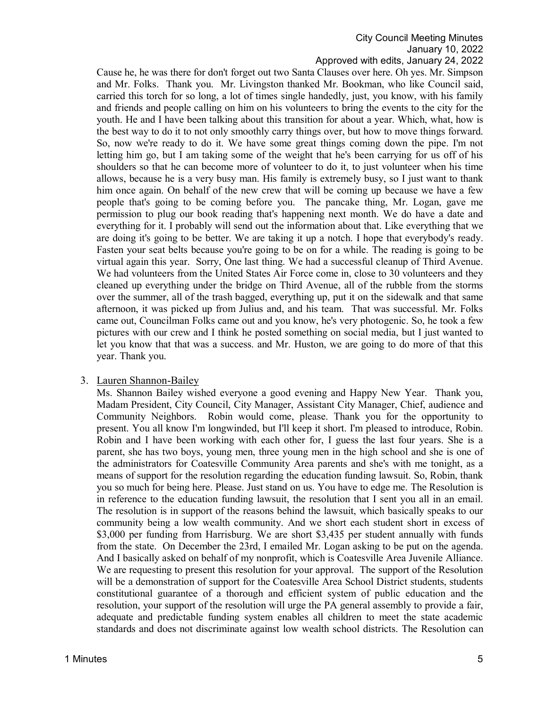Cause he, he was there for don't forget out two Santa Clauses over here. Oh yes. Mr. Simpson and Mr. Folks. Thank you. Mr. Livingston thanked Mr. Bookman, who like Council said, carried this torch for so long, a lot of times single handedly, just, you know, with his family and friends and people calling on him on his volunteers to bring the events to the city for the youth. He and I have been talking about this transition for about a year. Which, what, how is the best way to do it to not only smoothly carry things over, but how to move things forward. So, now we're ready to do it. We have some great things coming down the pipe. I'm not letting him go, but I am taking some of the weight that he's been carrying for us off of his shoulders so that he can become more of volunteer to do it, to just volunteer when his time allows, because he is a very busy man. His family is extremely busy, so I just want to thank him once again. On behalf of the new crew that will be coming up because we have a few people that's going to be coming before you. The pancake thing, Mr. Logan, gave me permission to plug our book reading that's happening next month. We do have a date and everything for it. I probably will send out the information about that. Like everything that we are doing it's going to be better. We are taking it up a notch. I hope that everybody's ready. Fasten your seat belts because you're going to be on for a while. The reading is going to be virtual again this year. Sorry, One last thing. We had a successful cleanup of Third Avenue. We had volunteers from the United States Air Force come in, close to 30 volunteers and they cleaned up everything under the bridge on Third Avenue, all of the rubble from the storms over the summer, all of the trash bagged, everything up, put it on the sidewalk and that same afternoon, it was picked up from Julius and, and his team. That was successful. Mr. Folks came out, Councilman Folks came out and you know, he's very photogenic. So, he took a few pictures with our crew and I think he posted something on social media, but I just wanted to let you know that that was a success. and Mr. Huston, we are going to do more of that this year. Thank you.

#### 3. Lauren Shannon-Bailey

Ms. Shannon Bailey wished everyone a good evening and Happy New Year. Thank you, Madam President, City Council, City Manager, Assistant City Manager, Chief, audience and Community Neighbors. Robin would come, please. Thank you for the opportunity to present. You all know I'm longwinded, but I'll keep it short. I'm pleased to introduce, Robin. Robin and I have been working with each other for, I guess the last four years. She is a parent, she has two boys, young men, three young men in the high school and she is one of the administrators for Coatesville Community Area parents and she's with me tonight, as a means of support for the resolution regarding the education funding lawsuit. So, Robin, thank you so much for being here. Please. Just stand on us. You have to edge me. The Resolution is in reference to the education funding lawsuit, the resolution that I sent you all in an email. The resolution is in support of the reasons behind the lawsuit, which basically speaks to our community being a low wealth community. And we short each student short in excess of \$3,000 per funding from Harrisburg. We are short \$3,435 per student annually with funds from the state. On December the 23rd, I emailed Mr. Logan asking to be put on the agenda. And I basically asked on behalf of my nonprofit, which is Coatesville Area Juvenile Alliance. We are requesting to present this resolution for your approval. The support of the Resolution will be a demonstration of support for the Coatesville Area School District students, students constitutional guarantee of a thorough and efficient system of public education and the resolution, your support of the resolution will urge the PA general assembly to provide a fair, adequate and predictable funding system enables all children to meet the state academic standards and does not discriminate against low wealth school districts. The Resolution can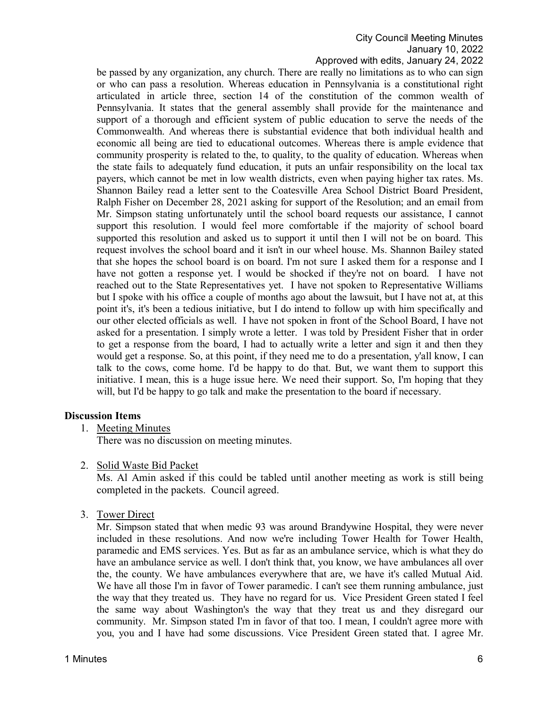Approved with edits, January 24, 2022

be passed by any organization, any church. There are really no limitations as to who can sign or who can pass a resolution. Whereas education in Pennsylvania is a constitutional right articulated in article three, section 14 of the constitution of the common wealth of Pennsylvania. It states that the general assembly shall provide for the maintenance and support of a thorough and efficient system of public education to serve the needs of the Commonwealth. And whereas there is substantial evidence that both individual health and economic all being are tied to educational outcomes. Whereas there is ample evidence that community prosperity is related to the, to quality, to the quality of education. Whereas when the state fails to adequately fund education, it puts an unfair responsibility on the local tax payers, which cannot be met in low wealth districts, even when paying higher tax rates. Ms. Shannon Bailey read a letter sent to the Coatesville Area School District Board President, Ralph Fisher on December 28, 2021 asking for support of the Resolution; and an email from Mr. Simpson stating unfortunately until the school board requests our assistance, I cannot support this resolution. I would feel more comfortable if the majority of school board supported this resolution and asked us to support it until then I will not be on board. This request involves the school board and it isn't in our wheel house. Ms. Shannon Bailey stated that she hopes the school board is on board. I'm not sure I asked them for a response and I have not gotten a response yet. I would be shocked if they're not on board. I have not reached out to the State Representatives yet. I have not spoken to Representative Williams but I spoke with his office a couple of months ago about the lawsuit, but I have not at, at this point it's, it's been a tedious initiative, but I do intend to follow up with him specifically and our other elected officials as well. I have not spoken in front of the School Board, I have not asked for a presentation. I simply wrote a letter. I was told by President Fisher that in order to get a response from the board, I had to actually write a letter and sign it and then they would get a response. So, at this point, if they need me to do a presentation, y'all know, I can talk to the cows, come home. I'd be happy to do that. But, we want them to support this initiative. I mean, this is a huge issue here. We need their support. So, I'm hoping that they will, but I'd be happy to go talk and make the presentation to the board if necessary.

## **Discussion Items**

1. Meeting Minutes

There was no discussion on meeting minutes.

2. Solid Waste Bid Packet

Ms. Al Amin asked if this could be tabled until another meeting as work is still being completed in the packets. Council agreed.

3. Tower Direct

Mr. Simpson stated that when medic 93 was around Brandywine Hospital, they were never included in these resolutions. And now we're including Tower Health for Tower Health, paramedic and EMS services. Yes. But as far as an ambulance service, which is what they do have an ambulance service as well. I don't think that, you know, we have ambulances all over the, the county. We have ambulances everywhere that are, we have it's called Mutual Aid. We have all those I'm in favor of Tower paramedic. I can't see them running ambulance, just the way that they treated us. They have no regard for us. Vice President Green stated I feel the same way about Washington's the way that they treat us and they disregard our community. Mr. Simpson stated I'm in favor of that too. I mean, I couldn't agree more with you, you and I have had some discussions. Vice President Green stated that. I agree Mr.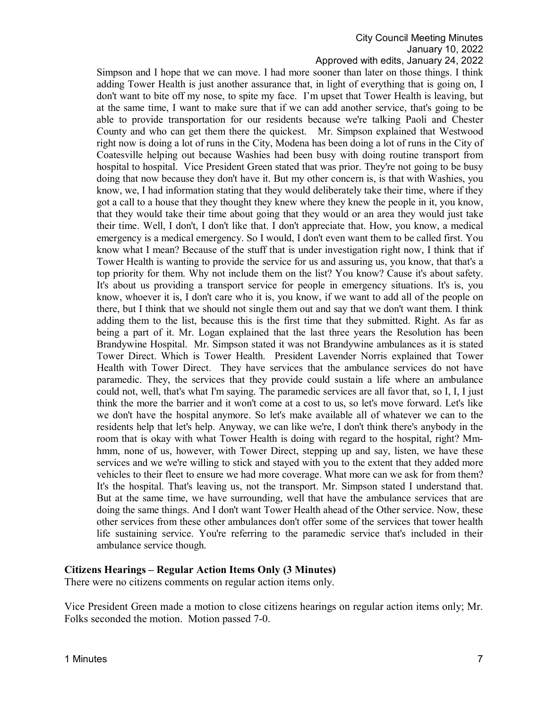### Approved with edits, January 24, 2022

Simpson and I hope that we can move. I had more sooner than later on those things. I think adding Tower Health is just another assurance that, in light of everything that is going on, I don't want to bite off my nose, to spite my face. I'm upset that Tower Health is leaving, but at the same time, I want to make sure that if we can add another service, that's going to be able to provide transportation for our residents because we're talking Paoli and Chester County and who can get them there the quickest. Mr. Simpson explained that Westwood right now is doing a lot of runs in the City, Modena has been doing a lot of runs in the City of Coatesville helping out because Washies had been busy with doing routine transport from hospital to hospital. Vice President Green stated that was prior. They're not going to be busy doing that now because they don't have it. But my other concern is, is that with Washies, you know, we, I had information stating that they would deliberately take their time, where if they got a call to a house that they thought they knew where they knew the people in it, you know, that they would take their time about going that they would or an area they would just take their time. Well, I don't, I don't like that. I don't appreciate that. How, you know, a medical emergency is a medical emergency. So I would, I don't even want them to be called first. You know what I mean? Because of the stuff that is under investigation right now, I think that if Tower Health is wanting to provide the service for us and assuring us, you know, that that's a top priority for them. Why not include them on the list? You know? Cause it's about safety. It's about us providing a transport service for people in emergency situations. It's is, you know, whoever it is, I don't care who it is, you know, if we want to add all of the people on there, but I think that we should not single them out and say that we don't want them. I think adding them to the list, because this is the first time that they submitted. Right. As far as being a part of it. Mr. Logan explained that the last three years the Resolution has been Brandywine Hospital. Mr. Simpson stated it was not Brandywine ambulances as it is stated Tower Direct. Which is Tower Health. President Lavender Norris explained that Tower Health with Tower Direct. They have services that the ambulance services do not have paramedic. They, the services that they provide could sustain a life where an ambulance could not, well, that's what I'm saying. The paramedic services are all favor that, so I, I, I just think the more the barrier and it won't come at a cost to us, so let's move forward. Let's like we don't have the hospital anymore. So let's make available all of whatever we can to the residents help that let's help. Anyway, we can like we're, I don't think there's anybody in the room that is okay with what Tower Health is doing with regard to the hospital, right? Mmhmm, none of us, however, with Tower Direct, stepping up and say, listen, we have these services and we we're willing to stick and stayed with you to the extent that they added more vehicles to their fleet to ensure we had more coverage. What more can we ask for from them? It's the hospital. That's leaving us, not the transport. Mr. Simpson stated I understand that. But at the same time, we have surrounding, well that have the ambulance services that are doing the same things. And I don't want Tower Health ahead of the Other service. Now, these other services from these other ambulances don't offer some of the services that tower health life sustaining service. You're referring to the paramedic service that's included in their ambulance service though.

#### **Citizens Hearings – Regular Action Items Only (3 Minutes)**

There were no citizens comments on regular action items only.

Vice President Green made a motion to close citizens hearings on regular action items only; Mr. Folks seconded the motion. Motion passed 7-0.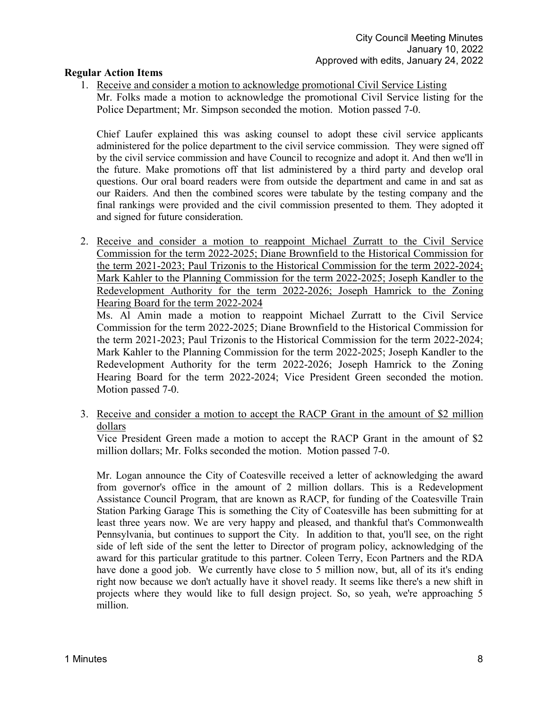## **Regular Action Items**

1. Receive and consider a motion to acknowledge promotional Civil Service Listing Mr. Folks made a motion to acknowledge the promotional Civil Service listing for the Police Department; Mr. Simpson seconded the motion. Motion passed 7-0.

Chief Laufer explained this was asking counsel to adopt these civil service applicants administered for the police department to the civil service commission. They were signed off by the civil service commission and have Council to recognize and adopt it. And then we'll in the future. Make promotions off that list administered by a third party and develop oral questions. Our oral board readers were from outside the department and came in and sat as our Raiders. And then the combined scores were tabulate by the testing company and the final rankings were provided and the civil commission presented to them. They adopted it and signed for future consideration.

2. Receive and consider a motion to reappoint Michael Zurratt to the Civil Service Commission for the term 2022-2025; Diane Brownfield to the Historical Commission for the term 2021-2023; Paul Trizonis to the Historical Commission for the term 2022-2024; Mark Kahler to the Planning Commission for the term 2022-2025; Joseph Kandler to the Redevelopment Authority for the term 2022-2026; Joseph Hamrick to the Zoning Hearing Board for the term 2022-2024

Ms. Al Amin made a motion to reappoint Michael Zurratt to the Civil Service Commission for the term 2022-2025; Diane Brownfield to the Historical Commission for the term 2021-2023; Paul Trizonis to the Historical Commission for the term 2022-2024; Mark Kahler to the Planning Commission for the term 2022-2025; Joseph Kandler to the Redevelopment Authority for the term 2022-2026; Joseph Hamrick to the Zoning Hearing Board for the term 2022-2024; Vice President Green seconded the motion. Motion passed 7-0.

3. Receive and consider a motion to accept the RACP Grant in the amount of \$2 million dollars

Vice President Green made a motion to accept the RACP Grant in the amount of \$2 million dollars; Mr. Folks seconded the motion. Motion passed 7-0.

Mr. Logan announce the City of Coatesville received a letter of acknowledging the award from governor's office in the amount of 2 million dollars. This is a Redevelopment Assistance Council Program, that are known as RACP, for funding of the Coatesville Train Station Parking Garage This is something the City of Coatesville has been submitting for at least three years now. We are very happy and pleased, and thankful that's Commonwealth Pennsylvania, but continues to support the City. In addition to that, you'll see, on the right side of left side of the sent the letter to Director of program policy, acknowledging of the award for this particular gratitude to this partner. Coleen Terry, Econ Partners and the RDA have done a good job. We currently have close to 5 million now, but, all of its it's ending right now because we don't actually have it shovel ready. It seems like there's a new shift in projects where they would like to full design project. So, so yeah, we're approaching 5 million.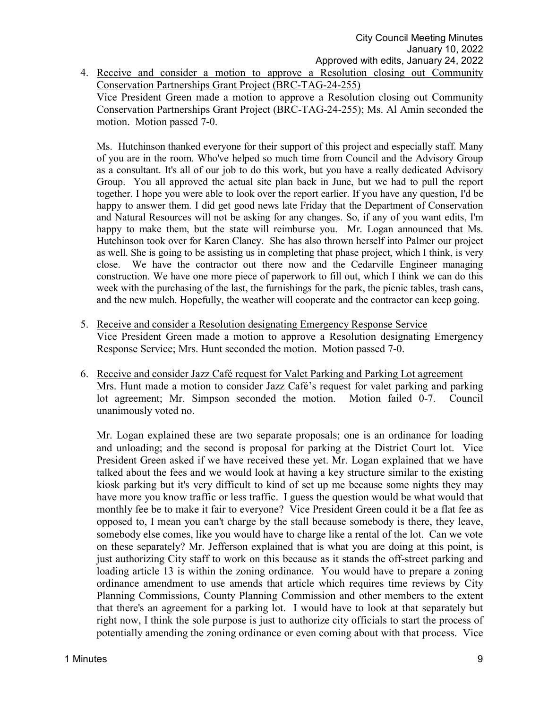4. Receive and consider a motion to approve a Resolution closing out Community Conservation Partnerships Grant Project (BRC-TAG-24-255)

Vice President Green made a motion to approve a Resolution closing out Community Conservation Partnerships Grant Project (BRC-TAG-24-255); Ms. Al Amin seconded the motion. Motion passed 7-0.

Ms. Hutchinson thanked everyone for their support of this project and especially staff. Many of you are in the room. Who've helped so much time from Council and the Advisory Group as a consultant. It's all of our job to do this work, but you have a really dedicated Advisory Group. You all approved the actual site plan back in June, but we had to pull the report together. I hope you were able to look over the report earlier. If you have any question, I'd be happy to answer them. I did get good news late Friday that the Department of Conservation and Natural Resources will not be asking for any changes. So, if any of you want edits, I'm happy to make them, but the state will reimburse you. Mr. Logan announced that Ms. Hutchinson took over for Karen Clancy. She has also thrown herself into Palmer our project as well. She is going to be assisting us in completing that phase project, which I think, is very close. We have the contractor out there now and the Cedarville Engineer managing construction. We have one more piece of paperwork to fill out, which I think we can do this week with the purchasing of the last, the furnishings for the park, the picnic tables, trash cans, and the new mulch. Hopefully, the weather will cooperate and the contractor can keep going.

- 5. Receive and consider a Resolution designating Emergency Response Service Vice President Green made a motion to approve a Resolution designating Emergency Response Service; Mrs. Hunt seconded the motion. Motion passed 7-0.
- 6. Receive and consider Jazz Café request for Valet Parking and Parking Lot agreement Mrs. Hunt made a motion to consider Jazz Café's request for valet parking and parking lot agreement; Mr. Simpson seconded the motion. Motion failed 0-7. Council unanimously voted no.

Mr. Logan explained these are two separate proposals; one is an ordinance for loading and unloading; and the second is proposal for parking at the District Court lot. Vice President Green asked if we have received these yet. Mr. Logan explained that we have talked about the fees and we would look at having a key structure similar to the existing kiosk parking but it's very difficult to kind of set up me because some nights they may have more you know traffic or less traffic. I guess the question would be what would that monthly fee be to make it fair to everyone? Vice President Green could it be a flat fee as opposed to, I mean you can't charge by the stall because somebody is there, they leave, somebody else comes, like you would have to charge like a rental of the lot. Can we vote on these separately? Mr. Jefferson explained that is what you are doing at this point, is just authorizing City staff to work on this because as it stands the off-street parking and loading article 13 is within the zoning ordinance. You would have to prepare a zoning ordinance amendment to use amends that article which requires time reviews by City Planning Commissions, County Planning Commission and other members to the extent that there's an agreement for a parking lot. I would have to look at that separately but right now, I think the sole purpose is just to authorize city officials to start the process of potentially amending the zoning ordinance or even coming about with that process. Vice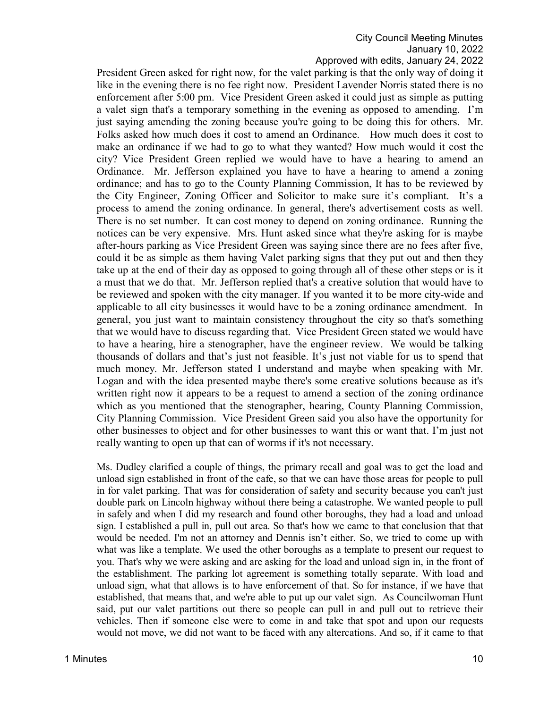President Green asked for right now, for the valet parking is that the only way of doing it like in the evening there is no fee right now. President Lavender Norris stated there is no enforcement after 5:00 pm. Vice President Green asked it could just as simple as putting a valet sign that's a temporary something in the evening as opposed to amending. I'm just saying amending the zoning because you're going to be doing this for others. Mr. Folks asked how much does it cost to amend an Ordinance. How much does it cost to make an ordinance if we had to go to what they wanted? How much would it cost the city? Vice President Green replied we would have to have a hearing to amend an Ordinance. Mr. Jefferson explained you have to have a hearing to amend a zoning ordinance; and has to go to the County Planning Commission, It has to be reviewed by the City Engineer, Zoning Officer and Solicitor to make sure it's compliant. It's a process to amend the zoning ordinance. In general, there's advertisement costs as well. There is no set number. It can cost money to depend on zoning ordinance. Running the notices can be very expensive. Mrs. Hunt asked since what they're asking for is maybe after-hours parking as Vice President Green was saying since there are no fees after five, could it be as simple as them having Valet parking signs that they put out and then they take up at the end of their day as opposed to going through all of these other steps or is it a must that we do that. Mr. Jefferson replied that's a creative solution that would have to be reviewed and spoken with the city manager. If you wanted it to be more city-wide and applicable to all city businesses it would have to be a zoning ordinance amendment. In general, you just want to maintain consistency throughout the city so that's something that we would have to discuss regarding that. Vice President Green stated we would have to have a hearing, hire a stenographer, have the engineer review. We would be talking thousands of dollars and that's just not feasible. It's just not viable for us to spend that much money. Mr. Jefferson stated I understand and maybe when speaking with Mr. Logan and with the idea presented maybe there's some creative solutions because as it's written right now it appears to be a request to amend a section of the zoning ordinance which as you mentioned that the stenographer, hearing, County Planning Commission, City Planning Commission. Vice President Green said you also have the opportunity for other businesses to object and for other businesses to want this or want that. I'm just not really wanting to open up that can of worms if it's not necessary.

Ms. Dudley clarified a couple of things, the primary recall and goal was to get the load and unload sign established in front of the cafe, so that we can have those areas for people to pull in for valet parking. That was for consideration of safety and security because you can't just double park on Lincoln highway without there being a catastrophe. We wanted people to pull in safely and when I did my research and found other boroughs, they had a load and unload sign. I established a pull in, pull out area. So that's how we came to that conclusion that that would be needed. I'm not an attorney and Dennis isn't either. So, we tried to come up with what was like a template. We used the other boroughs as a template to present our request to you. That's why we were asking and are asking for the load and unload sign in, in the front of the establishment. The parking lot agreement is something totally separate. With load and unload sign, what that allows is to have enforcement of that. So for instance, if we have that established, that means that, and we're able to put up our valet sign. As Councilwoman Hunt said, put our valet partitions out there so people can pull in and pull out to retrieve their vehicles. Then if someone else were to come in and take that spot and upon our requests would not move, we did not want to be faced with any altercations. And so, if it came to that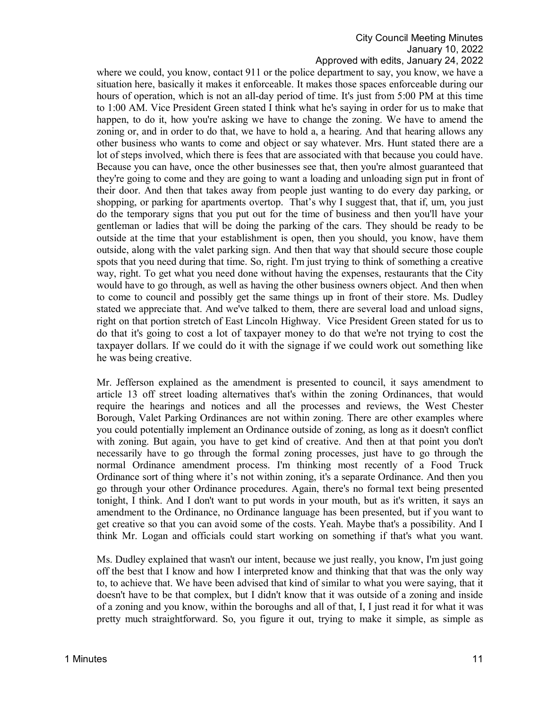#### Approved with edits, January 24, 2022

where we could, you know, contact 911 or the police department to say, you know, we have a situation here, basically it makes it enforceable. It makes those spaces enforceable during our hours of operation, which is not an all-day period of time. It's just from 5:00 PM at this time to 1:00 AM. Vice President Green stated I think what he's saying in order for us to make that happen, to do it, how you're asking we have to change the zoning. We have to amend the zoning or, and in order to do that, we have to hold a, a hearing. And that hearing allows any other business who wants to come and object or say whatever. Mrs. Hunt stated there are a lot of steps involved, which there is fees that are associated with that because you could have. Because you can have, once the other businesses see that, then you're almost guaranteed that they're going to come and they are going to want a loading and unloading sign put in front of their door. And then that takes away from people just wanting to do every day parking, or shopping, or parking for apartments overtop. That's why I suggest that, that if, um, you just do the temporary signs that you put out for the time of business and then you'll have your gentleman or ladies that will be doing the parking of the cars. They should be ready to be outside at the time that your establishment is open, then you should, you know, have them outside, along with the valet parking sign. And then that way that should secure those couple spots that you need during that time. So, right. I'm just trying to think of something a creative way, right. To get what you need done without having the expenses, restaurants that the City would have to go through, as well as having the other business owners object. And then when to come to council and possibly get the same things up in front of their store. Ms. Dudley stated we appreciate that. And we've talked to them, there are several load and unload signs, right on that portion stretch of East Lincoln Highway. Vice President Green stated for us to do that it's going to cost a lot of taxpayer money to do that we're not trying to cost the taxpayer dollars. If we could do it with the signage if we could work out something like he was being creative.

Mr. Jefferson explained as the amendment is presented to council, it says amendment to article 13 off street loading alternatives that's within the zoning Ordinances, that would require the hearings and notices and all the processes and reviews, the West Chester Borough, Valet Parking Ordinances are not within zoning. There are other examples where you could potentially implement an Ordinance outside of zoning, as long as it doesn't conflict with zoning. But again, you have to get kind of creative. And then at that point you don't necessarily have to go through the formal zoning processes, just have to go through the normal Ordinance amendment process. I'm thinking most recently of a Food Truck Ordinance sort of thing where it's not within zoning, it's a separate Ordinance. And then you go through your other Ordinance procedures. Again, there's no formal text being presented tonight, I think. And I don't want to put words in your mouth, but as it's written, it says an amendment to the Ordinance, no Ordinance language has been presented, but if you want to get creative so that you can avoid some of the costs. Yeah. Maybe that's a possibility. And I think Mr. Logan and officials could start working on something if that's what you want.

Ms. Dudley explained that wasn't our intent, because we just really, you know, I'm just going off the best that I know and how I interpreted know and thinking that that was the only way to, to achieve that. We have been advised that kind of similar to what you were saying, that it doesn't have to be that complex, but I didn't know that it was outside of a zoning and inside of a zoning and you know, within the boroughs and all of that, I, I just read it for what it was pretty much straightforward. So, you figure it out, trying to make it simple, as simple as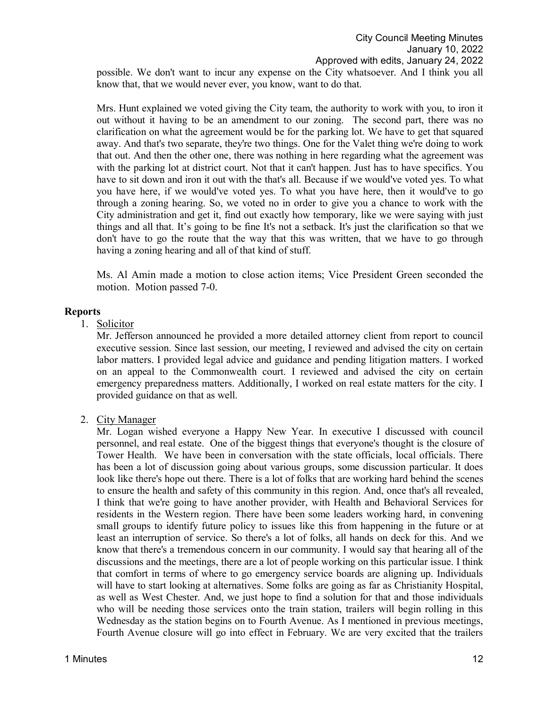possible. We don't want to incur any expense on the City whatsoever. And I think you all know that, that we would never ever, you know, want to do that.

Mrs. Hunt explained we voted giving the City team, the authority to work with you, to iron it out without it having to be an amendment to our zoning. The second part, there was no clarification on what the agreement would be for the parking lot. We have to get that squared away. And that's two separate, they're two things. One for the Valet thing we're doing to work that out. And then the other one, there was nothing in here regarding what the agreement was with the parking lot at district court. Not that it can't happen. Just has to have specifics. You have to sit down and iron it out with the that's all. Because if we would've voted yes. To what you have here, if we would've voted yes. To what you have here, then it would've to go through a zoning hearing. So, we voted no in order to give you a chance to work with the City administration and get it, find out exactly how temporary, like we were saying with just things and all that. It's going to be fine It's not a setback. It's just the clarification so that we don't have to go the route that the way that this was written, that we have to go through having a zoning hearing and all of that kind of stuff.

Ms. Al Amin made a motion to close action items; Vice President Green seconded the motion. Motion passed 7-0.

### **Reports**

1. Solicitor

Mr. Jefferson announced he provided a more detailed attorney client from report to council executive session. Since last session, our meeting, I reviewed and advised the city on certain labor matters. I provided legal advice and guidance and pending litigation matters. I worked on an appeal to the Commonwealth court. I reviewed and advised the city on certain emergency preparedness matters. Additionally, I worked on real estate matters for the city. I provided guidance on that as well.

2. City Manager

Mr. Logan wished everyone a Happy New Year. In executive I discussed with council personnel, and real estate. One of the biggest things that everyone's thought is the closure of Tower Health. We have been in conversation with the state officials, local officials. There has been a lot of discussion going about various groups, some discussion particular. It does look like there's hope out there. There is a lot of folks that are working hard behind the scenes to ensure the health and safety of this community in this region. And, once that's all revealed, I think that we're going to have another provider, with Health and Behavioral Services for residents in the Western region. There have been some leaders working hard, in convening small groups to identify future policy to issues like this from happening in the future or at least an interruption of service. So there's a lot of folks, all hands on deck for this. And we know that there's a tremendous concern in our community. I would say that hearing all of the discussions and the meetings, there are a lot of people working on this particular issue. I think that comfort in terms of where to go emergency service boards are aligning up. Individuals will have to start looking at alternatives. Some folks are going as far as Christianity Hospital, as well as West Chester. And, we just hope to find a solution for that and those individuals who will be needing those services onto the train station, trailers will begin rolling in this Wednesday as the station begins on to Fourth Avenue. As I mentioned in previous meetings, Fourth Avenue closure will go into effect in February. We are very excited that the trailers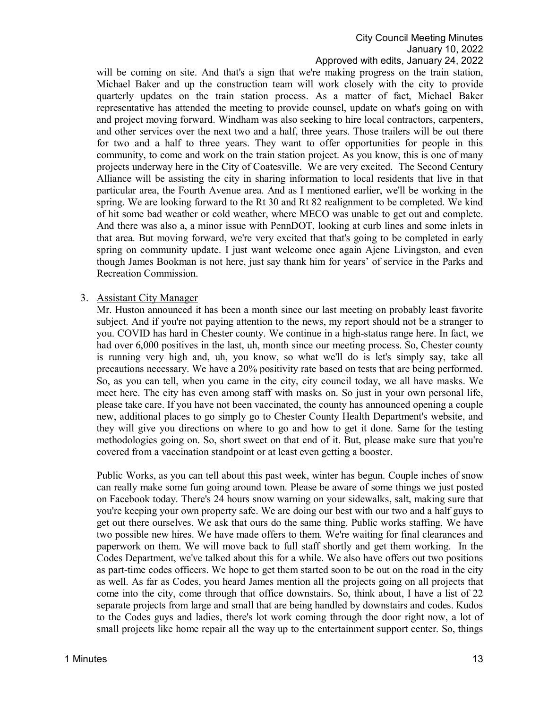will be coming on site. And that's a sign that we're making progress on the train station, Michael Baker and up the construction team will work closely with the city to provide quarterly updates on the train station process. As a matter of fact, Michael Baker representative has attended the meeting to provide counsel, update on what's going on with and project moving forward. Windham was also seeking to hire local contractors, carpenters, and other services over the next two and a half, three years. Those trailers will be out there for two and a half to three years. They want to offer opportunities for people in this community, to come and work on the train station project. As you know, this is one of many projects underway here in the City of Coatesville. We are very excited. The Second Century Alliance will be assisting the city in sharing information to local residents that live in that particular area, the Fourth Avenue area. And as I mentioned earlier, we'll be working in the spring. We are looking forward to the Rt 30 and Rt 82 realignment to be completed. We kind of hit some bad weather or cold weather, where MECO was unable to get out and complete. And there was also a, a minor issue with PennDOT, looking at curb lines and some inlets in that area. But moving forward, we're very excited that that's going to be completed in early spring on community update. I just want welcome once again Ajene Livingston, and even though James Bookman is not here, just say thank him for years' of service in the Parks and Recreation Commission.

#### 3. Assistant City Manager

Mr. Huston announced it has been a month since our last meeting on probably least favorite subject. And if you're not paying attention to the news, my report should not be a stranger to you. COVID has hard in Chester county. We continue in a high-status range here. In fact, we had over 6,000 positives in the last, uh, month since our meeting process. So, Chester county is running very high and, uh, you know, so what we'll do is let's simply say, take all precautions necessary. We have a 20% positivity rate based on tests that are being performed. So, as you can tell, when you came in the city, city council today, we all have masks. We meet here. The city has even among staff with masks on. So just in your own personal life, please take care. If you have not been vaccinated, the county has announced opening a couple new, additional places to go simply go to Chester County Health Department's website, and they will give you directions on where to go and how to get it done. Same for the testing methodologies going on. So, short sweet on that end of it. But, please make sure that you're covered from a vaccination standpoint or at least even getting a booster.

Public Works, as you can tell about this past week, winter has begun. Couple inches of snow can really make some fun going around town. Please be aware of some things we just posted on Facebook today. There's 24 hours snow warning on your sidewalks, salt, making sure that you're keeping your own property safe. We are doing our best with our two and a half guys to get out there ourselves. We ask that ours do the same thing. Public works staffing. We have two possible new hires. We have made offers to them. We're waiting for final clearances and paperwork on them. We will move back to full staff shortly and get them working. In the Codes Department, we've talked about this for a while. We also have offers out two positions as part-time codes officers. We hope to get them started soon to be out on the road in the city as well. As far as Codes, you heard James mention all the projects going on all projects that come into the city, come through that office downstairs. So, think about, I have a list of 22 separate projects from large and small that are being handled by downstairs and codes. Kudos to the Codes guys and ladies, there's lot work coming through the door right now, a lot of small projects like home repair all the way up to the entertainment support center. So, things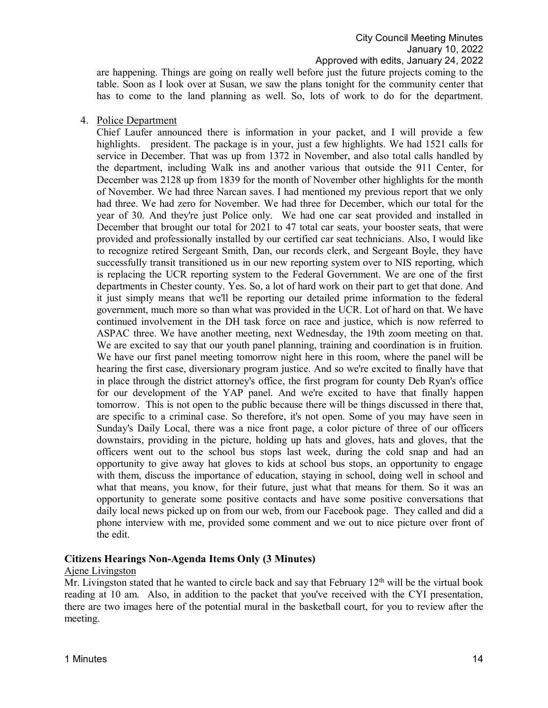are happening. Things are going on really well before just the future projects coming to the table. Soon as I look over at Susan, we saw the plans tonight for the community center that has to come to the land planning as well. So, lots of work to do for the department.

### 4. Police Department

Chief Laufer announced there is information in your packet, and I will provide a few highlights. president. The package is in your, just a few highlights. We had 1521 calls for service in December. That was up from 1372 in November, and also total calls handled by the department, including Walk ins and another various that outside the 911 Center, for December was 2128 up from 1839 for the month of November other highlights for the month of November. We had three Narcan saves. I had mentioned my previous report that we only had three. We had zero for November. We had three for December, which our total for the year of 30. And they're just Police only. We had one car seat provided and installed in December that brought our total for 2021 to 47 total car seats, your booster seats, that were provided and professionally installed by our certified car seat technicians. Also, I would like to recognize retired Sergeant Smith, Dan, our records clerk, and Sergeant Boyle, they have successfully transit transitioned us in our new reporting system over to NIS reporting, which is replacing the UCR reporting system to the Federal Government. We are one of the first departments in Chester county. Yes. So, a lot of hard work on their part to get that done. And it just simply means that we'll be reporting our detailed prime information to the federal government, much more so than what was provided in the UCR. Lot of hard on that. We have continued involvement in the DH task force on race and justice, which is now referred to ASPAC three. We have another meeting, next Wednesday, the 19th zoom meeting on that. We are excited to say that our youth panel planning, training and coordination is in fruition. We have our first panel meeting tomorrow night here in this room, where the panel will be hearing the first case, diversionary program justice. And so we're excited to finally have that in place through the district attorney's office, the first program for county Deb Ryan's office for our development of the YAP panel. And we're excited to have that finally happen tomorrow. This is not open to the public because there will be things discussed in there that, are specific to a criminal case. So therefore, it's not open. Some of you may have seen in Sunday's Daily Local, there was a nice front page, a color picture of three of our officers downstairs, providing in the picture, holding up hats and gloves, hats and gloves, that the officers went out to the school bus stops last week, during the cold snap and had an opportunity to give away hat gloves to kids at school bus stops, an opportunity to engage with them, discuss the importance of education, staying in school, doing well in school and what that means, you know, for their future, just what that means for them. So it was an opportunity to generate some positive contacts and have some positive conversations that daily local news picked up on from our web, from our Facebook page. They called and did a phone interview with me, provided some comment and we out to nice picture over front of the edit.

## **Citizens Hearings Non-Agenda Items Only (3 Minutes)**

#### Ajene Livingston

Mr. Livingston stated that he wanted to circle back and say that February  $12<sup>th</sup>$  will be the virtual book reading at 10 am. Also, in addition to the packet that you've received with the CYI presentation, there are two images here of the potential mural in the basketball court, for you to review after the meeting.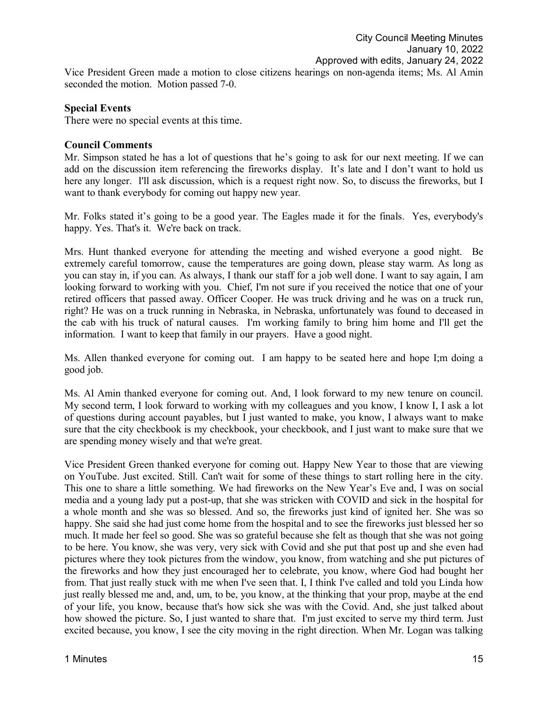Vice President Green made a motion to close citizens hearings on non-agenda items; Ms. Al Amin seconded the motion. Motion passed 7-0.

## **Special Events**

There were no special events at this time.

## **Council Comments**

Mr. Simpson stated he has a lot of questions that he's going to ask for our next meeting. If we can add on the discussion item referencing the fireworks display. It's late and I don't want to hold us here any longer. I'll ask discussion, which is a request right now. So, to discuss the fireworks, but I want to thank everybody for coming out happy new year.

Mr. Folks stated it's going to be a good year. The Eagles made it for the finals. Yes, everybody's happy. Yes. That's it. We're back on track.

Mrs. Hunt thanked everyone for attending the meeting and wished everyone a good night. Be extremely careful tomorrow, cause the temperatures are going down, please stay warm. As long as you can stay in, if you can. As always, I thank our staff for a job well done. I want to say again, I am looking forward to working with you. Chief, I'm not sure if you received the notice that one of your retired officers that passed away. Officer Cooper. He was truck driving and he was on a truck run, right? He was on a truck running in Nebraska, in Nebraska, unfortunately was found to deceased in the cab with his truck of natural causes. I'm working family to bring him home and I'll get the information. I want to keep that family in our prayers. Have a good night.

Ms. Allen thanked everyone for coming out. I am happy to be seated here and hope I;m doing a good job.

Ms. Al Amin thanked everyone for coming out. And, I look forward to my new tenure on council. My second term, I look forward to working with my colleagues and you know, I know I, I ask a lot of questions during account payables, but I just wanted to make, you know, I always want to make sure that the city checkbook is my checkbook, your checkbook, and I just want to make sure that we are spending money wisely and that we're great.

Vice President Green thanked everyone for coming out. Happy New Year to those that are viewing on YouTube. Just excited. Still. Can't wait for some of these things to start rolling here in the city. This one to share a little something. We had fireworks on the New Year's Eve and, I was on social media and a young lady put a post-up, that she was stricken with COVID and sick in the hospital for a whole month and she was so blessed. And so, the fireworks just kind of ignited her. She was so happy. She said she had just come home from the hospital and to see the fireworks just blessed her so much. It made her feel so good. She was so grateful because she felt as though that she was not going to be here. You know, she was very, very sick with Covid and she put that post up and she even had pictures where they took pictures from the window, you know, from watching and she put pictures of the fireworks and how they just encouraged her to celebrate, you know, where God had bought her from. That just really stuck with me when I've seen that. I, I think I've called and told you Linda how just really blessed me and, and, um, to be, you know, at the thinking that your prop, maybe at the end of your life, you know, because that's how sick she was with the Covid. And, she just talked about how showed the picture. So, I just wanted to share that. I'm just excited to serve my third term. Just excited because, you know, I see the city moving in the right direction. When Mr. Logan was talking